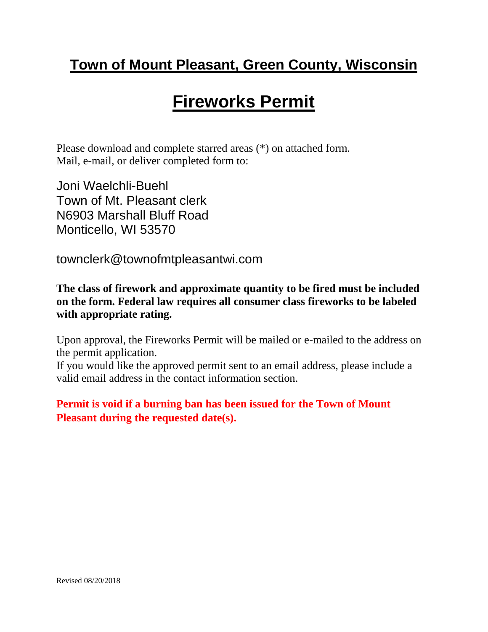### **Town of Mount Pleasant, Green County, Wisconsin**

# **Fireworks Permit**

Please download and complete starred areas (\*) on attached form. Mail, e-mail, or deliver completed form to:

Joni Waelchli-Buehl Town of Mt. Pleasant clerk N6903 Marshall Bluff Road Monticello, WI 53570

townclerk@townofmtpleasantwi.com

**The class of firework and approximate quantity to be fired must be included on the form. Federal law requires all consumer class fireworks to be labeled with appropriate rating.**

Upon approval, the Fireworks Permit will be mailed or e-mailed to the address on the permit application.

If you would like the approved permit sent to an email address, please include a valid email address in the contact information section.

**Permit is void if a burning ban has been issued for the Town of Mount Pleasant during the requested date(s).**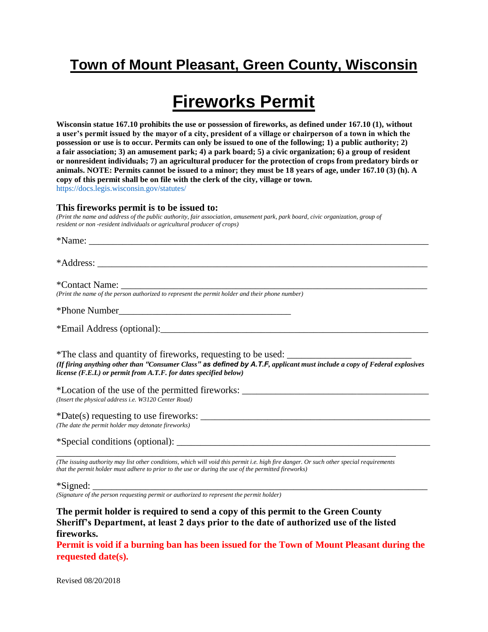#### **Town of Mount Pleasant, Green County, Wisconsin**

## **Fireworks Permit**

**Wisconsin statue 167.10 prohibits the use or possession of fireworks, as defined under 167.10 (1), without a user's permit issued by the mayor of a city, president of a village or chairperson of a town in which the possession or use is to occur. Permits can only be issued to one of the following; 1) a public authority; 2) a fair association; 3) an amusement park; 4) a park board; 5) a civic organization; 6) a group of resident or nonresident individuals; 7) an agricultural producer for the protection of crops from predatory birds or animals. NOTE: Permits cannot be issued to a minor; they must be 18 years of age, under 167.10 (3) (h). A copy of this permit shall be on file with the clerk of the city, village or town.** https://docs.legis.wisconsin.gov/statutes/

#### **This fireworks permit is to be issued to:**

*(Print the name and address of the public authority, fair association, amusement park, park board, civic organization, group of resident or non -resident individuals or agricultural producer of crops)*

| (Print the name of the person authorized to represent the permit holder and their phone number)                                                                                                                                                                                   |
|-----------------------------------------------------------------------------------------------------------------------------------------------------------------------------------------------------------------------------------------------------------------------------------|
|                                                                                                                                                                                                                                                                                   |
|                                                                                                                                                                                                                                                                                   |
| *The class and quantity of fireworks, requesting to be used: ____________________<br>(If firing anything other than "Consumer Class" as defined by A.T.F, applicant must include a copy of Federal explosives<br>license (F.E.L) or permit from A.T.F. for dates specified below) |
| *Location of the use of the permitted fireworks: _______________________________<br>(Insert the physical address i.e. W3120 Center Road)                                                                                                                                          |
| (The date the permit holder may detonate fireworks)                                                                                                                                                                                                                               |
|                                                                                                                                                                                                                                                                                   |
| (The issuing authority may list other conditions, which will void this permit i.e. high fire danger. Or such other special requirements<br>that the permit holder must adhere to prior to the use or during the use of the permitted fireworks)                                   |

 $*Signed:$ 

*(Signature of the person requesting permit or authorized to represent the permit holder)*

**The permit holder is required to send a copy of this permit to the Green County Sheriff's Department, at least 2 days prior to the date of authorized use of the listed fireworks.**

**Permit is void if a burning ban has been issued for the Town of Mount Pleasant during the requested date(s).**

Revised 08/20/2018